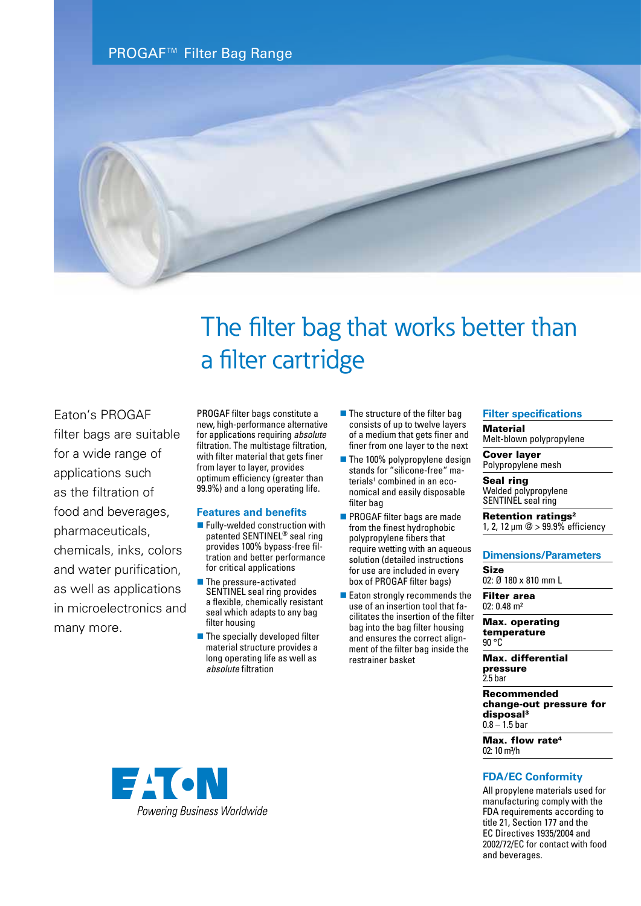PROGAF™ Filter Bag Range



# The filter bag that works better than a filter cartridge

Eaton's PROGAF

filter bags are suitable for a wide range of applications such as the filtration of food and beverages, pharmaceuticals, chemicals, inks, colors and water purification, as well as applications in microelectronics and many more.

PROGAF filter bags constitute a new, high-performance alternative for applications requiring *absolute* filtration. The multistage filtration, with filter material that gets finer from layer to layer, provides optimum efficiency (greater than 99.9%) and a long operating life.

#### **Features and benefits**

- $\blacksquare$  Fully-welded construction with patented SENTINEL® seal ring provides 100% bypass-free filtration and better performance for critical applications
- **n** The pressure-activated SENTINEL seal ring provides a flexible, chemically resistant seal which adapts to any bag filter housing
- $\blacksquare$  The specially developed filter material structure provides a long operating life as well as *absolute* filtration
- $\blacksquare$  The structure of the filter bag consists of up to twelve layers of a medium that gets finer and finer from one layer to the next
- $\blacksquare$  The 100% polypropylene design stands for "silicone-free" materials<sup>1</sup> combined in an economical and easily disposable filter bag
- **n** PROGAF filter bags are made from the finest hydrophobic polypropylene fibers that require wetting with an aqueous solution (detailed instructions for use are included in every box of PROGAF filter bags)
- $\blacksquare$  Eaton strongly recommends the use of an insertion tool that facilitates the insertion of the filter bag into the bag filter housing and ensures the correct alignment of the filter bag inside the restrainer basket

### **Filter specifications**

**Material** 

Melt-blown polypropylene

Cover layer Polypropylene mesh

Seal ring Welded polypropylene SENTINEL seal ring

Retention ratings<sup>2</sup> 1, 2, 12 µm @ > 99.9% efficiency

#### **Dimensions/Parameters**

Size 02: Ø 180 x 810 mm L

Filter area 02: 0.48 m²

Max. operating temperature 90 °C

Max. differential pressure 2.5 bar

Recommended change-out pressure for disposal3  $0.8 - 1.5$  bar

Max. flow rate<sup>4</sup>  $02:10 \text{ m}^3/h$ 

#### **FDA/EC Conformity**

All propylene materials used for manufacturing comply with the FDA requirements according to title 21, Section 177 and the EC Directives 1935/2004 and 2002/72/EC for contact with food and beverages.